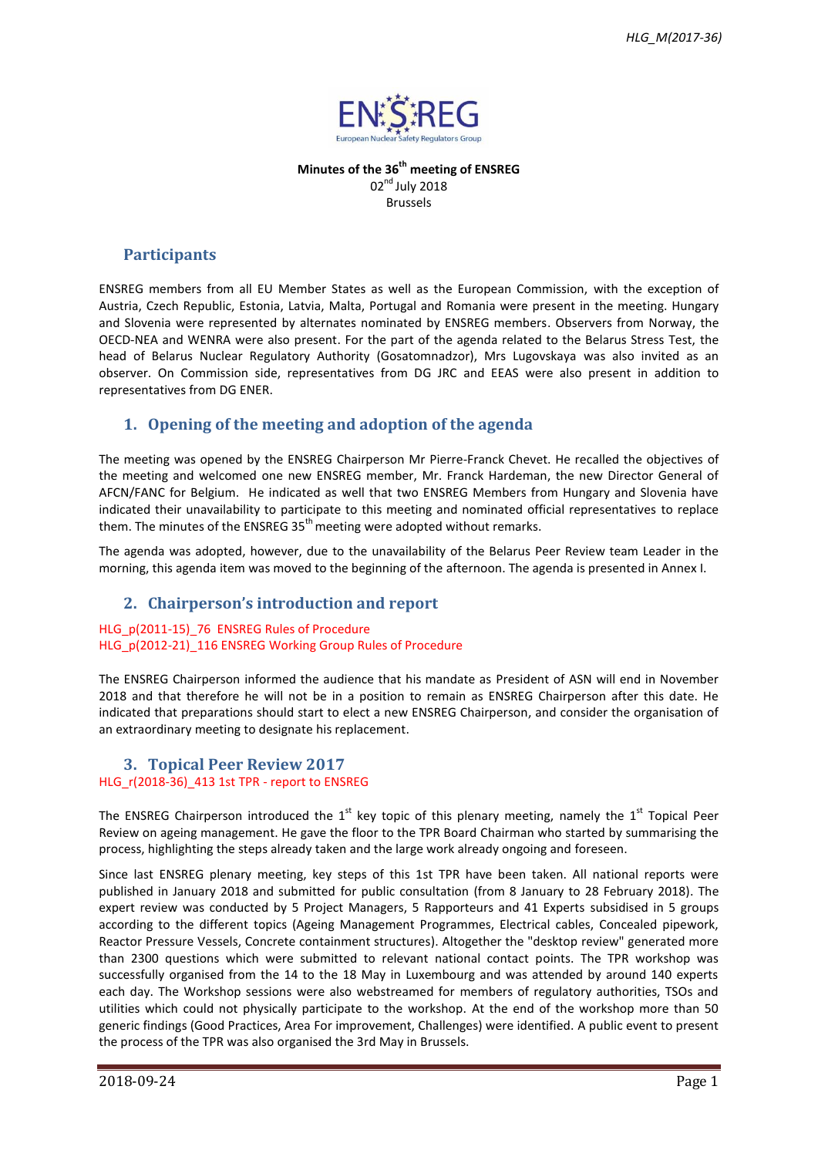

**Minutes of the 36 th meeting of ENSREG** 02<sup>nd</sup> July 2018 Brussels

## **Participants**

ENSREG members from all EU Member States as well as the European Commission, with the exception of Austria, Czech Republic, Estonia, Latvia, Malta, Portugal and Romania were present in the meeting. Hungary and Slovenia were represented by alternates nominated by ENSREG members. Observers from Norway, the OECD-NEA and WENRA were also present. For the part of the agenda related to the Belarus Stress Test, the head of Belarus Nuclear Regulatory Authority (Gosatomnadzor), Mrs Lugovskaya was also invited as an observer. On Commission side, representatives from DG JRC and EEAS were also present in addition to representatives from DG ENER.

# **1. Opening of the meeting and adoption of the agenda**

The meeting was opened by the ENSREG Chairperson Mr Pierre-Franck Chevet. He recalled the objectives of the meeting and welcomed one new ENSREG member, Mr. Franck Hardeman, the new Director General of AFCN/FANC for Belgium. He indicated as well that two ENSREG Members from Hungary and Slovenia have indicated their unavailability to participate to this meeting and nominated official representatives to replace them. The minutes of the ENSREG  $35<sup>th</sup>$  meeting were adopted without remarks.

The agenda was adopted, however, due to the unavailability of the Belarus Peer Review team Leader in the morning, this agenda item was moved to the beginning of the afternoon. The agenda is presented in Annex I.

### **2. Chairperson's introduction and report**

#### HLG\_p(2011-15)\_76 ENSREG Rules of Procedure HLG p(2012-21) 116 ENSREG Working Group Rules of Procedure

The ENSREG Chairperson informed the audience that his mandate as President of ASN will end in November 2018 and that therefore he will not be in a position to remain as ENSREG Chairperson after this date. He indicated that preparations should start to elect a new ENSREG Chairperson, and consider the organisation of an extraordinary meeting to designate his replacement.

# **3. Topical Peer Review 2017**

## HLG\_r(2018-36)\_413 1st TPR - report to ENSREG

The ENSREG Chairperson introduced the  $1<sup>st</sup>$  key topic of this plenary meeting, namely the  $1<sup>st</sup>$  Topical Peer Review on ageing management. He gave the floor to the TPR Board Chairman who started by summarising the process, highlighting the steps already taken and the large work already ongoing and foreseen.

Since last ENSREG plenary meeting, key steps of this 1st TPR have been taken. All national reports were published in January 2018 and submitted for public consultation (from 8 January to 28 February 2018). The expert review was conducted by 5 Project Managers, 5 Rapporteurs and 41 Experts subsidised in 5 groups according to the different topics (Ageing Management Programmes, Electrical cables, Concealed pipework, Reactor Pressure Vessels, Concrete containment structures). Altogether the "desktop review" generated more than 2300 questions which were submitted to relevant national contact points. The TPR workshop was successfully organised from the 14 to the 18 May in Luxembourg and was attended by around 140 experts each day. The Workshop sessions were also webstreamed for members of regulatory authorities, TSOs and utilities which could not physically participate to the workshop. At the end of the workshop more than 50 generic findings (Good Practices, Area For improvement, Challenges) were identified. A public event to present the process of the TPR was also organised the 3rd May in Brussels.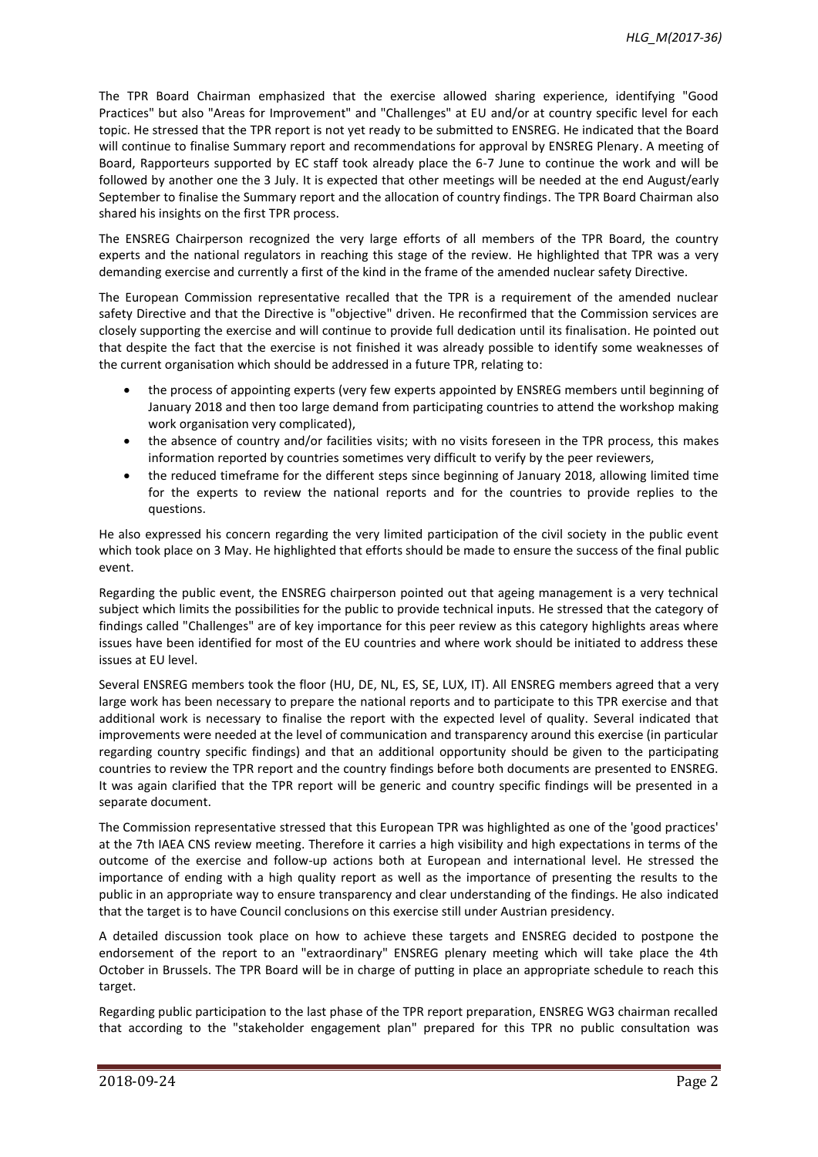The TPR Board Chairman emphasized that the exercise allowed sharing experience, identifying "Good Practices" but also "Areas for Improvement" and "Challenges" at EU and/or at country specific level for each topic. He stressed that the TPR report is not yet ready to be submitted to ENSREG. He indicated that the Board will continue to finalise Summary report and recommendations for approval by ENSREG Plenary. A meeting of Board, Rapporteurs supported by EC staff took already place the 6-7 June to continue the work and will be followed by another one the 3 July. It is expected that other meetings will be needed at the end August/early September to finalise the Summary report and the allocation of country findings. The TPR Board Chairman also shared his insights on the first TPR process.

The ENSREG Chairperson recognized the very large efforts of all members of the TPR Board, the country experts and the national regulators in reaching this stage of the review. He highlighted that TPR was a very demanding exercise and currently a first of the kind in the frame of the amended nuclear safety Directive.

The European Commission representative recalled that the TPR is a requirement of the amended nuclear safety Directive and that the Directive is "objective" driven. He reconfirmed that the Commission services are closely supporting the exercise and will continue to provide full dedication until its finalisation. He pointed out that despite the fact that the exercise is not finished it was already possible to identify some weaknesses of the current organisation which should be addressed in a future TPR, relating to:

- the process of appointing experts (very few experts appointed by ENSREG members until beginning of January 2018 and then too large demand from participating countries to attend the workshop making work organisation very complicated),
- the absence of country and/or facilities visits; with no visits foreseen in the TPR process, this makes information reported by countries sometimes very difficult to verify by the peer reviewers,
- the reduced timeframe for the different steps since beginning of January 2018, allowing limited time for the experts to review the national reports and for the countries to provide replies to the questions.

He also expressed his concern regarding the very limited participation of the civil society in the public event which took place on 3 May. He highlighted that efforts should be made to ensure the success of the final public event.

Regarding the public event, the ENSREG chairperson pointed out that ageing management is a very technical subject which limits the possibilities for the public to provide technical inputs. He stressed that the category of findings called "Challenges" are of key importance for this peer review as this category highlights areas where issues have been identified for most of the EU countries and where work should be initiated to address these issues at EU level.

Several ENSREG members took the floor (HU, DE, NL, ES, SE, LUX, IT). All ENSREG members agreed that a very large work has been necessary to prepare the national reports and to participate to this TPR exercise and that additional work is necessary to finalise the report with the expected level of quality. Several indicated that improvements were needed at the level of communication and transparency around this exercise (in particular regarding country specific findings) and that an additional opportunity should be given to the participating countries to review the TPR report and the country findings before both documents are presented to ENSREG. It was again clarified that the TPR report will be generic and country specific findings will be presented in a separate document.

The Commission representative stressed that this European TPR was highlighted as one of the 'good practices' at the 7th IAEA CNS review meeting. Therefore it carries a high visibility and high expectations in terms of the outcome of the exercise and follow-up actions both at European and international level. He stressed the importance of ending with a high quality report as well as the importance of presenting the results to the public in an appropriate way to ensure transparency and clear understanding of the findings. He also indicated that the target is to have Council conclusions on this exercise still under Austrian presidency.

A detailed discussion took place on how to achieve these targets and ENSREG decided to postpone the endorsement of the report to an "extraordinary" ENSREG plenary meeting which will take place the 4th October in Brussels. The TPR Board will be in charge of putting in place an appropriate schedule to reach this target.

Regarding public participation to the last phase of the TPR report preparation, ENSREG WG3 chairman recalled that according to the "stakeholder engagement plan" prepared for this TPR no public consultation was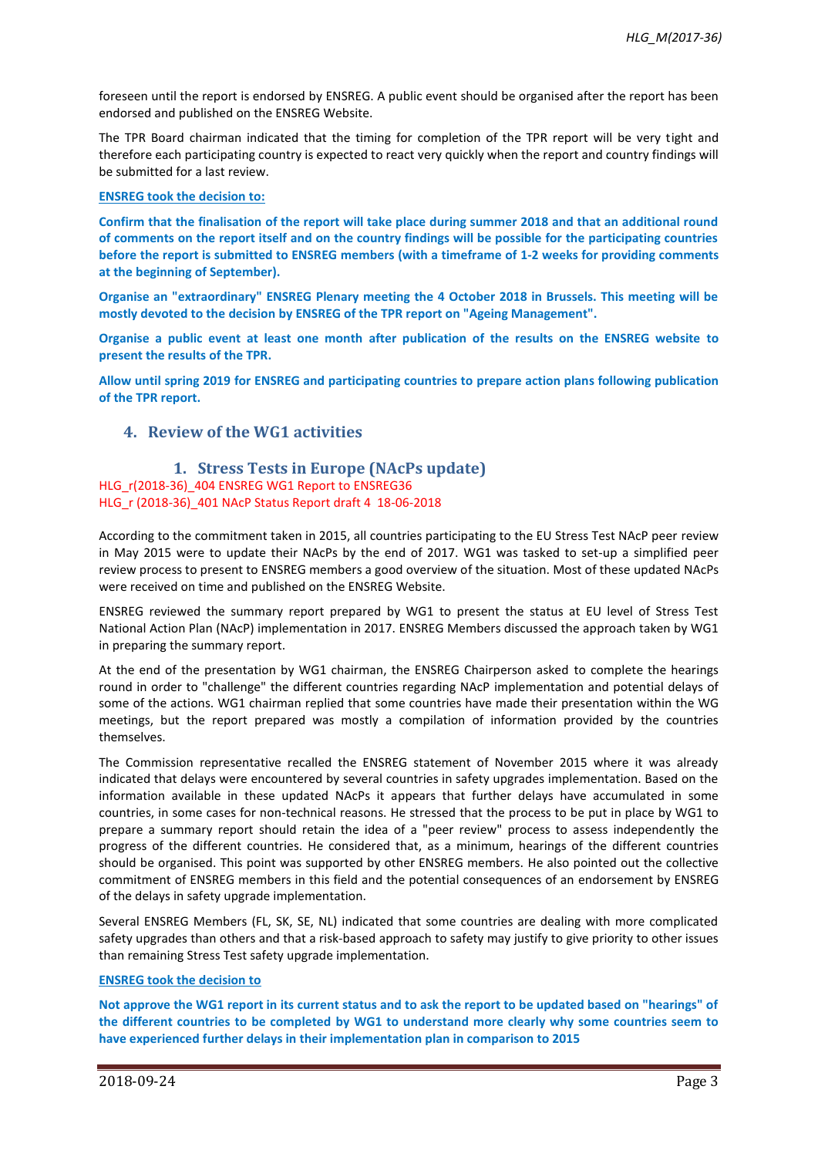foreseen until the report is endorsed by ENSREG. A public event should be organised after the report has been endorsed and published on the ENSREG Website.

The TPR Board chairman indicated that the timing for completion of the TPR report will be very tight and therefore each participating country is expected to react very quickly when the report and country findings will be submitted for a last review.

#### **ENSREG took the decision to:**

**Confirm that the finalisation of the report will take place during summer 2018 and that an additional round of comments on the report itself and on the country findings will be possible for the participating countries before the report is submitted to ENSREG members (with a timeframe of 1-2 weeks for providing comments at the beginning of September).**

**Organise an "extraordinary" ENSREG Plenary meeting the 4 October 2018 in Brussels. This meeting will be mostly devoted to the decision by ENSREG of the TPR report on "Ageing Management".**

**Organise a public event at least one month after publication of the results on the ENSREG website to present the results of the TPR.**

**Allow until spring 2019 for ENSREG and participating countries to prepare action plans following publication of the TPR report.**

### **4. Review of the WG1 activities**

### **1. Stress Tests in Europe (NAcPs update)** HLG\_r(2018-36)\_404 ENSREG WG1 Report to ENSREG36 HLG\_r (2018-36)\_401 NAcP Status Report draft 4 18-06-2018

According to the commitment taken in 2015, all countries participating to the EU Stress Test NAcP peer review in May 2015 were to update their NAcPs by the end of 2017. WG1 was tasked to set-up a simplified peer review process to present to ENSREG members a good overview of the situation. Most of these updated NAcPs were received on time and published on the ENSREG Website.

ENSREG reviewed the summary report prepared by WG1 to present the status at EU level of Stress Test National Action Plan (NAcP) implementation in 2017. ENSREG Members discussed the approach taken by WG1 in preparing the summary report.

At the end of the presentation by WG1 chairman, the ENSREG Chairperson asked to complete the hearings round in order to "challenge" the different countries regarding NAcP implementation and potential delays of some of the actions. WG1 chairman replied that some countries have made their presentation within the WG meetings, but the report prepared was mostly a compilation of information provided by the countries themselves.

The Commission representative recalled the ENSREG statement of November 2015 where it was already indicated that delays were encountered by several countries in safety upgrades implementation. Based on the information available in these updated NAcPs it appears that further delays have accumulated in some countries, in some cases for non-technical reasons. He stressed that the process to be put in place by WG1 to prepare a summary report should retain the idea of a "peer review" process to assess independently the progress of the different countries. He considered that, as a minimum, hearings of the different countries should be organised. This point was supported by other ENSREG members. He also pointed out the collective commitment of ENSREG members in this field and the potential consequences of an endorsement by ENSREG of the delays in safety upgrade implementation.

Several ENSREG Members (FL, SK, SE, NL) indicated that some countries are dealing with more complicated safety upgrades than others and that a risk-based approach to safety may justify to give priority to other issues than remaining Stress Test safety upgrade implementation.

### **ENSREG took the decision to**

**Not approve the WG1 report in its current status and to ask the report to be updated based on "hearings" of the different countries to be completed by WG1 to understand more clearly why some countries seem to have experienced further delays in their implementation plan in comparison to 2015**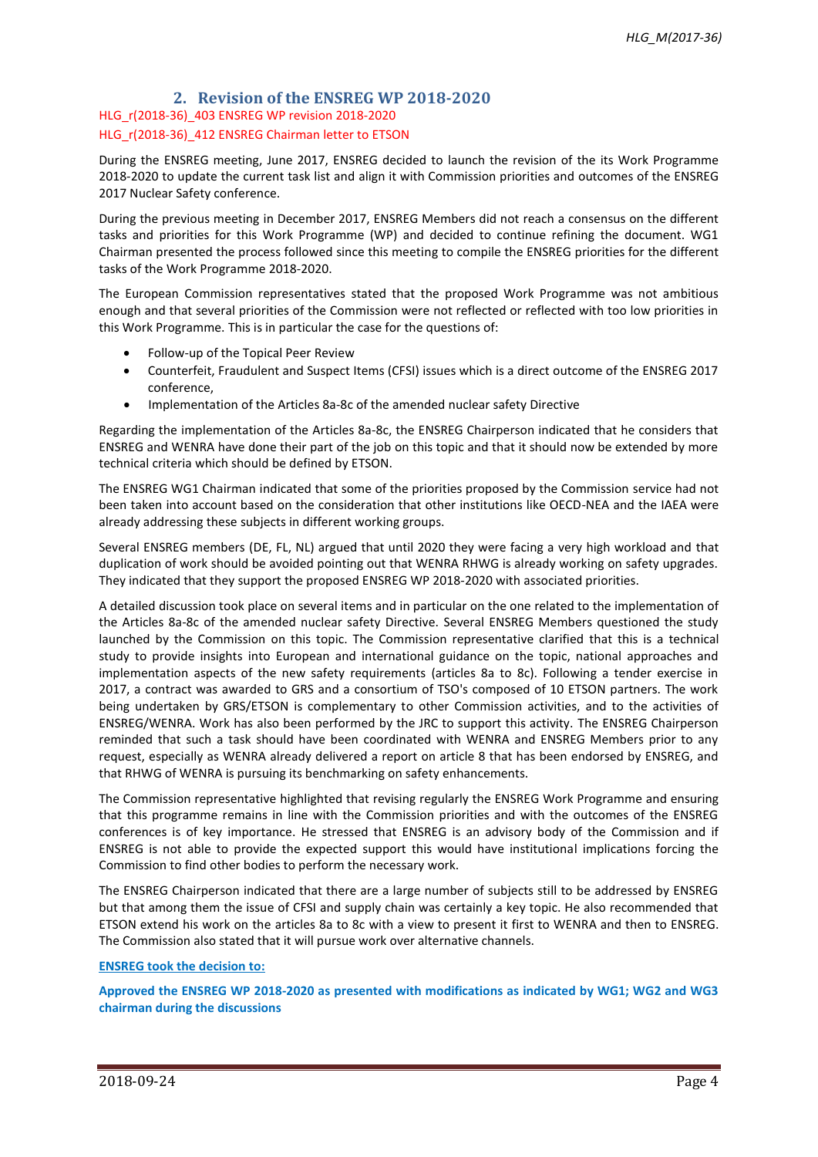# **2. Revision of the ENSREG WP 2018-2020** HLG\_r(2018-36)\_403 ENSREG WP revision 2018-2020 HLG r(2018-36) 412 ENSREG Chairman letter to ETSON

During the ENSREG meeting, June 2017, ENSREG decided to launch the revision of the its Work Programme 2018-2020 to update the current task list and align it with Commission priorities and outcomes of the ENSREG 2017 Nuclear Safety conference.

During the previous meeting in December 2017, ENSREG Members did not reach a consensus on the different tasks and priorities for this Work Programme (WP) and decided to continue refining the document. WG1 Chairman presented the process followed since this meeting to compile the ENSREG priorities for the different tasks of the Work Programme 2018-2020.

The European Commission representatives stated that the proposed Work Programme was not ambitious enough and that several priorities of the Commission were not reflected or reflected with too low priorities in this Work Programme. This is in particular the case for the questions of:

- Follow-up of the Topical Peer Review
- Counterfeit, Fraudulent and Suspect Items (CFSI) issues which is a direct outcome of the ENSREG 2017 conference,
- Implementation of the Articles 8a-8c of the amended nuclear safety Directive

Regarding the implementation of the Articles 8a-8c, the ENSREG Chairperson indicated that he considers that ENSREG and WENRA have done their part of the job on this topic and that it should now be extended by more technical criteria which should be defined by ETSON.

The ENSREG WG1 Chairman indicated that some of the priorities proposed by the Commission service had not been taken into account based on the consideration that other institutions like OECD-NEA and the IAEA were already addressing these subjects in different working groups.

Several ENSREG members (DE, FL, NL) argued that until 2020 they were facing a very high workload and that duplication of work should be avoided pointing out that WENRA RHWG is already working on safety upgrades. They indicated that they support the proposed ENSREG WP 2018-2020 with associated priorities.

A detailed discussion took place on several items and in particular on the one related to the implementation of the Articles 8a-8c of the amended nuclear safety Directive. Several ENSREG Members questioned the study launched by the Commission on this topic. The Commission representative clarified that this is a technical study to provide insights into European and international guidance on the topic, national approaches and implementation aspects of the new safety requirements (articles 8a to 8c). Following a tender exercise in 2017, a contract was awarded to GRS and a consortium of TSO's composed of 10 ETSON partners. The work being undertaken by GRS/ETSON is complementary to other Commission activities, and to the activities of ENSREG/WENRA. Work has also been performed by the JRC to support this activity. The ENSREG Chairperson reminded that such a task should have been coordinated with WENRA and ENSREG Members prior to any request, especially as WENRA already delivered a report on article 8 that has been endorsed by ENSREG, and that RHWG of WENRA is pursuing its benchmarking on safety enhancements.

The Commission representative highlighted that revising regularly the ENSREG Work Programme and ensuring that this programme remains in line with the Commission priorities and with the outcomes of the ENSREG conferences is of key importance. He stressed that ENSREG is an advisory body of the Commission and if ENSREG is not able to provide the expected support this would have institutional implications forcing the Commission to find other bodies to perform the necessary work.

The ENSREG Chairperson indicated that there are a large number of subjects still to be addressed by ENSREG but that among them the issue of CFSI and supply chain was certainly a key topic. He also recommended that ETSON extend his work on the articles 8a to 8c with a view to present it first to WENRA and then to ENSREG. The Commission also stated that it will pursue work over alternative channels.

#### **ENSREG took the decision to:**

**Approved the ENSREG WP 2018-2020 as presented with modifications as indicated by WG1; WG2 and WG3 chairman during the discussions**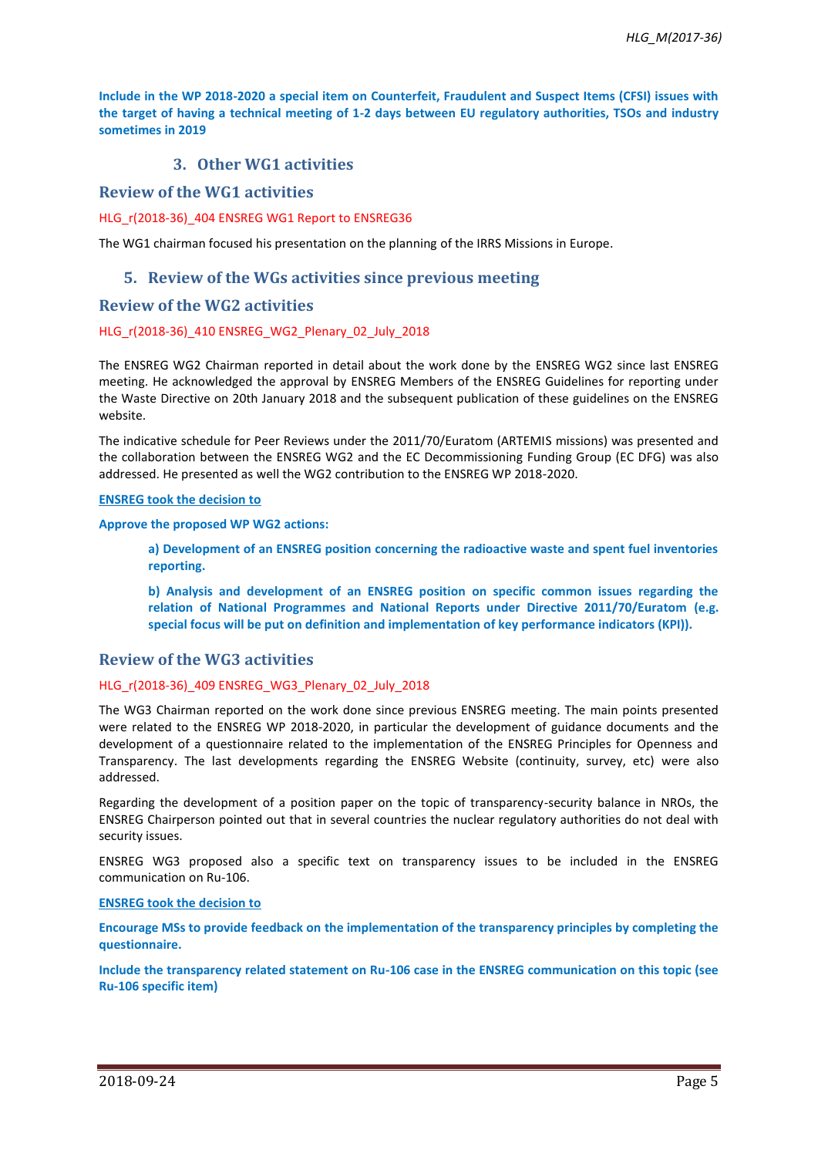**Include in the WP 2018-2020 a special item on Counterfeit, Fraudulent and Suspect Items (CFSI) issues with the target of having a technical meeting of 1-2 days between EU regulatory authorities, TSOs and industry sometimes in 2019**

# **3. Other WG1 activities**

## **Review of the WG1 activities**

HLG\_r(2018-36)\_404 ENSREG WG1 Report to ENSREG36

The WG1 chairman focused his presentation on the planning of the IRRS Missions in Europe.

### **5. Review of the WGs activities since previous meeting**

### **Review of the WG2 activities**

#### HLG\_r(2018-36)\_410 ENSREG\_WG2\_Plenary\_02\_July\_2018

The ENSREG WG2 Chairman reported in detail about the work done by the ENSREG WG2 since last ENSREG meeting. He acknowledged the approval by ENSREG Members of the ENSREG Guidelines for reporting under the Waste Directive on 20th January 2018 and the subsequent publication of these guidelines on the ENSREG website.

The indicative schedule for Peer Reviews under the 2011/70/Euratom (ARTEMIS missions) was presented and the collaboration between the ENSREG WG2 and the EC Decommissioning Funding Group (EC DFG) was also addressed. He presented as well the WG2 contribution to the ENSREG WP 2018-2020.

#### **ENSREG took the decision to**

#### **Approve the proposed WP WG2 actions:**

**a) Development of an ENSREG position concerning the radioactive waste and spent fuel inventories reporting.**

**b) Analysis and development of an ENSREG position on specific common issues regarding the relation of National Programmes and National Reports under Directive 2011/70/Euratom (e.g. special focus will be put on definition and implementation of key performance indicators (KPI)).**

#### **Review of the WG3 activities**

#### HLG\_r(2018-36)\_409 ENSREG\_WG3\_Plenary\_02\_July\_2018

The WG3 Chairman reported on the work done since previous ENSREG meeting. The main points presented were related to the ENSREG WP 2018-2020, in particular the development of guidance documents and the development of a questionnaire related to the implementation of the ENSREG Principles for Openness and Transparency. The last developments regarding the ENSREG Website (continuity, survey, etc) were also addressed.

Regarding the development of a position paper on the topic of transparency-security balance in NROs, the ENSREG Chairperson pointed out that in several countries the nuclear regulatory authorities do not deal with security issues.

ENSREG WG3 proposed also a specific text on transparency issues to be included in the ENSREG communication on Ru-106.

#### **ENSREG took the decision to**

**Encourage MSs to provide feedback on the implementation of the transparency principles by completing the questionnaire.** 

**Include the transparency related statement on Ru-106 case in the ENSREG communication on this topic (see Ru-106 specific item)**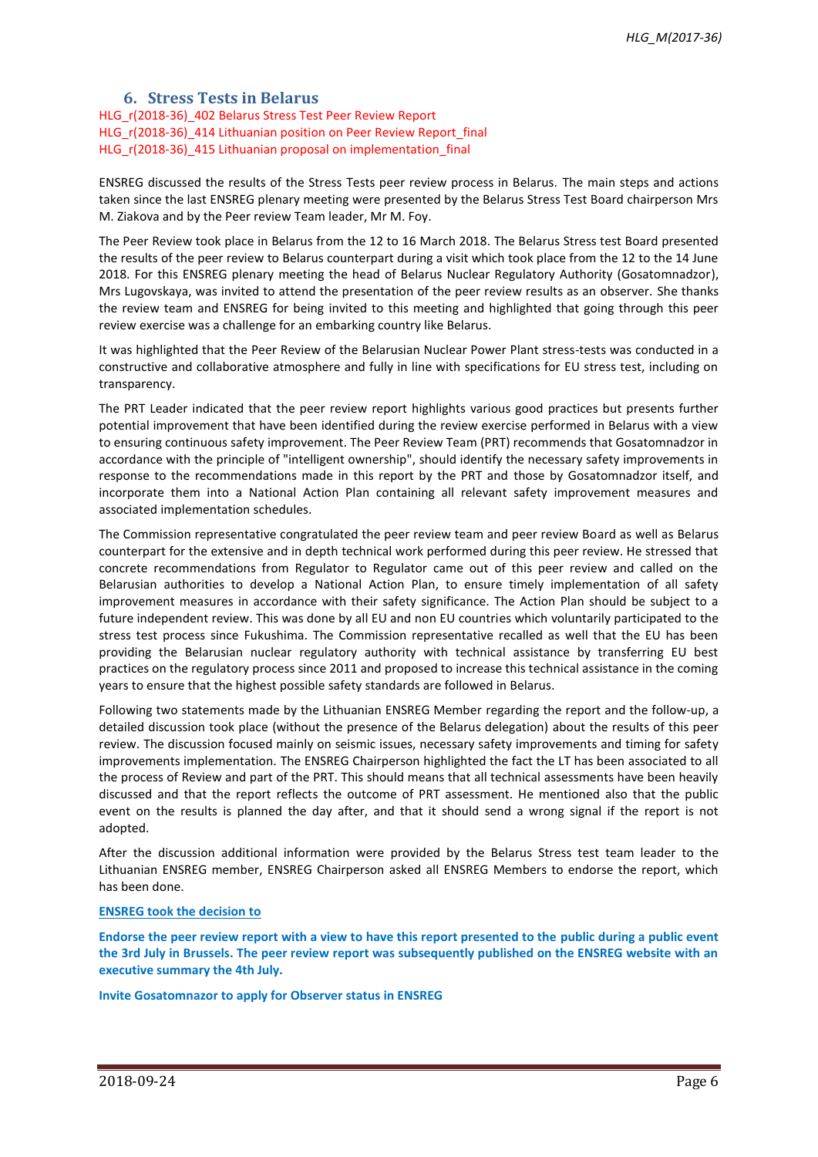## **6. Stress Tests in Belarus**

HLG\_r(2018-36)\_402 Belarus Stress Test Peer Review Report HLG r(2018-36) 414 Lithuanian position on Peer Review Report final HLG r(2018-36) 415 Lithuanian proposal on implementation final

ENSREG discussed the results of the Stress Tests peer review process in Belarus. The main steps and actions taken since the last ENSREG plenary meeting were presented by the Belarus Stress Test Board chairperson Mrs M. Ziakova and by the Peer review Team leader, Mr M. Foy.

The Peer Review took place in Belarus from the 12 to 16 March 2018. The Belarus Stress test Board presented the results of the peer review to Belarus counterpart during a visit which took place from the 12 to the 14 June 2018. For this ENSREG plenary meeting the head of Belarus Nuclear Regulatory Authority (Gosatomnadzor), Mrs Lugovskaya, was invited to attend the presentation of the peer review results as an observer. She thanks the review team and ENSREG for being invited to this meeting and highlighted that going through this peer review exercise was a challenge for an embarking country like Belarus.

It was highlighted that the Peer Review of the Belarusian Nuclear Power Plant stress-tests was conducted in a constructive and collaborative atmosphere and fully in line with specifications for EU stress test, including on transparency.

The PRT Leader indicated that the peer review report highlights various good practices but presents further potential improvement that have been identified during the review exercise performed in Belarus with a view to ensuring continuous safety improvement. The Peer Review Team (PRT) recommends that Gosatomnadzor in accordance with the principle of "intelligent ownership", should identify the necessary safety improvements in response to the recommendations made in this report by the PRT and those by Gosatomnadzor itself, and incorporate them into a National Action Plan containing all relevant safety improvement measures and associated implementation schedules.

The Commission representative congratulated the peer review team and peer review Board as well as Belarus counterpart for the extensive and in depth technical work performed during this peer review. He stressed that concrete recommendations from Regulator to Regulator came out of this peer review and called on the Belarusian authorities to develop a National Action Plan, to ensure timely implementation of all safety improvement measures in accordance with their safety significance. The Action Plan should be subject to a future independent review. This was done by all EU and non EU countries which voluntarily participated to the stress test process since Fukushima. The Commission representative recalled as well that the EU has been providing the Belarusian nuclear regulatory authority with technical assistance by transferring EU best practices on the regulatory process since 2011 and proposed to increase this technical assistance in the coming years to ensure that the highest possible safety standards are followed in Belarus.

Following two statements made by the Lithuanian ENSREG Member regarding the report and the follow-up, a detailed discussion took place (without the presence of the Belarus delegation) about the results of this peer review. The discussion focused mainly on seismic issues, necessary safety improvements and timing for safety improvements implementation. The ENSREG Chairperson highlighted the fact the LT has been associated to all the process of Review and part of the PRT. This should means that all technical assessments have been heavily discussed and that the report reflects the outcome of PRT assessment. He mentioned also that the public event on the results is planned the day after, and that it should send a wrong signal if the report is not adopted.

After the discussion additional information were provided by the Belarus Stress test team leader to the Lithuanian ENSREG member, ENSREG Chairperson asked all ENSREG Members to endorse the report, which has been done.

#### **ENSREG took the decision to**

**Endorse the peer review report with a view to have this report presented to the public during a public event the 3rd July in Brussels. The peer review report was subsequently published on the ENSREG website with an executive summary the 4th July.**

**Invite Gosatomnazor to apply for Observer status in ENSREG**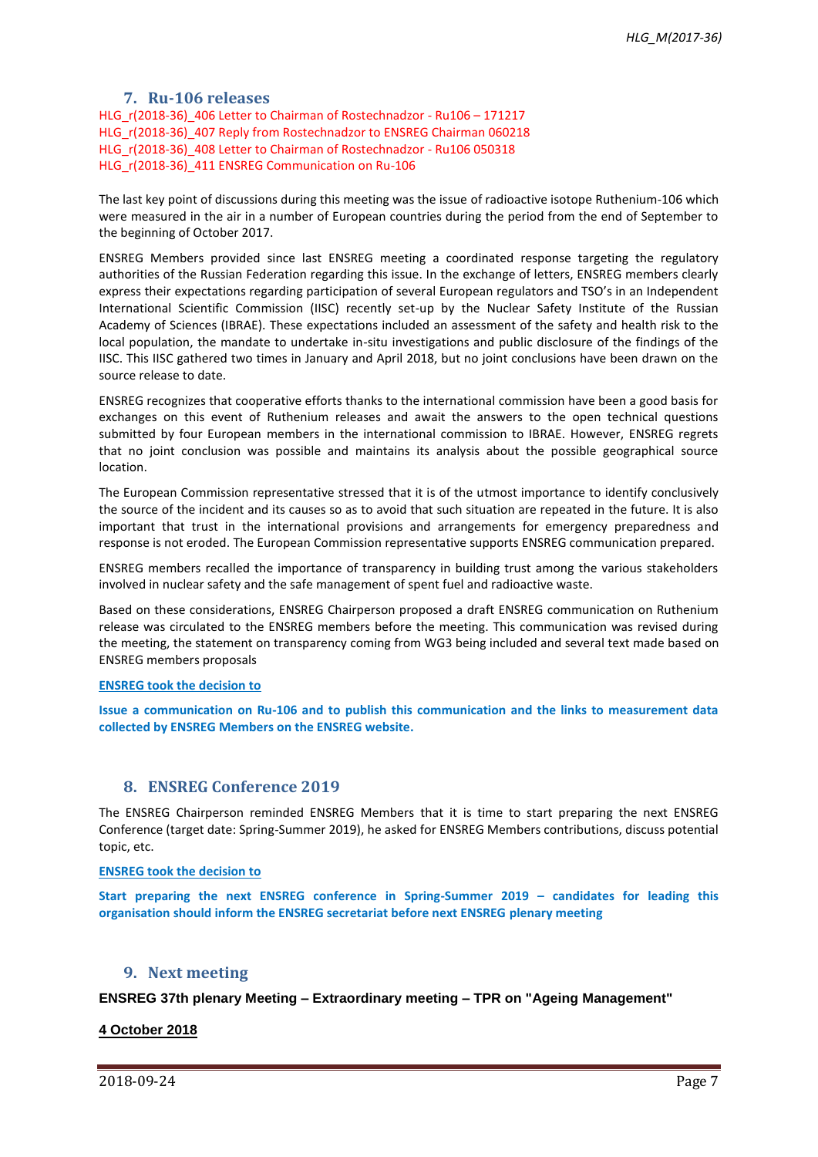## **7. Ru-106 releases**

HLG\_r(2018-36)\_406 Letter to Chairman of Rostechnadzor - Ru106 – 171217 HLG r(2018-36) 407 Reply from Rostechnadzor to ENSREG Chairman 060218 HLG r(2018-36) 408 Letter to Chairman of Rostechnadzor - Ru106 050318 HLG r(2018-36) 411 ENSREG Communication on Ru-106

The last key point of discussions during this meeting was the issue of radioactive isotope Ruthenium-106 which were measured in the air in a number of European countries during the period from the end of September to the beginning of October 2017.

ENSREG Members provided since last ENSREG meeting a coordinated response targeting the regulatory authorities of the Russian Federation regarding this issue. In the exchange of letters, ENSREG members clearly express their expectations regarding participation of several European regulators and TSO's in an Independent International Scientific Commission (IISC) recently set-up by the Nuclear Safety Institute of the Russian Academy of Sciences (IBRAE). These expectations included an assessment of the safety and health risk to the local population, the mandate to undertake in-situ investigations and public disclosure of the findings of the IISC. This IISC gathered two times in January and April 2018, but no joint conclusions have been drawn on the source release to date.

ENSREG recognizes that cooperative efforts thanks to the international commission have been a good basis for exchanges on this event of Ruthenium releases and await the answers to the open technical questions submitted by four European members in the international commission to IBRAE. However, ENSREG regrets that no joint conclusion was possible and maintains its analysis about the possible geographical source location.

The European Commission representative stressed that it is of the utmost importance to identify conclusively the source of the incident and its causes so as to avoid that such situation are repeated in the future. It is also important that trust in the international provisions and arrangements for emergency preparedness and response is not eroded. The European Commission representative supports ENSREG communication prepared.

ENSREG members recalled the importance of transparency in building trust among the various stakeholders involved in nuclear safety and the safe management of spent fuel and radioactive waste.

Based on these considerations, ENSREG Chairperson proposed a draft ENSREG communication on Ruthenium release was circulated to the ENSREG members before the meeting. This communication was revised during the meeting, the statement on transparency coming from WG3 being included and several text made based on ENSREG members proposals

#### **ENSREG took the decision to**

**Issue a communication on Ru-106 and to publish this communication and the links to measurement data collected by ENSREG Members on the ENSREG website.**

## **8. ENSREG Conference 2019**

The ENSREG Chairperson reminded ENSREG Members that it is time to start preparing the next ENSREG Conference (target date: Spring-Summer 2019), he asked for ENSREG Members contributions, discuss potential topic, etc.

**ENSREG took the decision to**

**Start preparing the next ENSREG conference in Spring-Summer 2019 – candidates for leading this organisation should inform the ENSREG secretariat before next ENSREG plenary meeting**

# **9. Next meeting**

**ENSREG 37th plenary Meeting – Extraordinary meeting – TPR on "Ageing Management"**

#### **4 October 2018**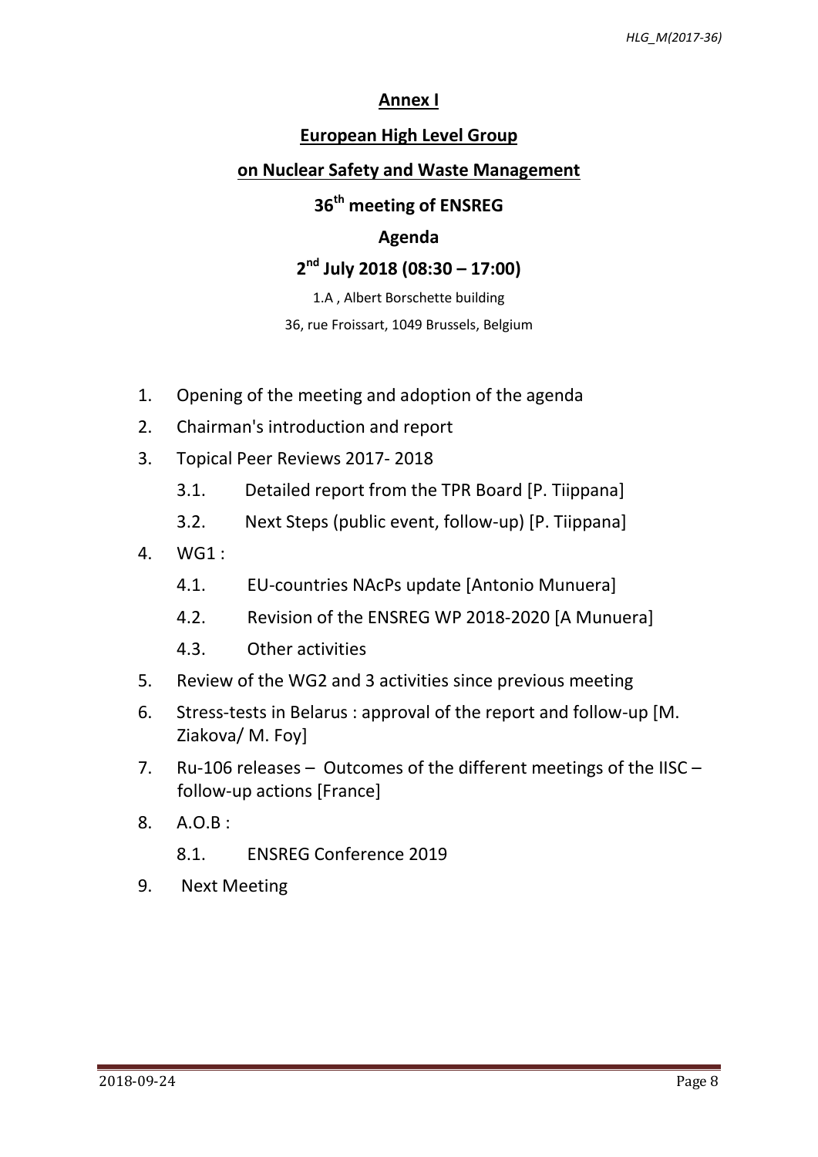# **Annex I**

# **European High Level Group**

# **on Nuclear Safety and Waste Management**

# **36 th meeting of ENSREG**

# **Agenda**

# **2 nd July 2018 (08:30 – 17:00)**

1.A , Albert Borschette building

36, rue Froissart, 1049 Brussels, Belgium

- 1. Opening of the meeting and adoption of the agenda
- 2. Chairman's introduction and report
- 3. Topical Peer Reviews 2017- 2018
	- 3.1. Detailed report from the TPR Board [P. Tiippana]
	- 3.2. Next Steps (public event, follow-up) [P. Tiippana]
- 4. WG1 :
	- 4.1. EU-countries NAcPs update [Antonio Munuera]
	- 4.2. Revision of the ENSREG WP 2018-2020 [A Munuera]
	- 4.3. Other activities
- 5. Review of the WG2 and 3 activities since previous meeting
- 6. Stress-tests in Belarus : approval of the report and follow-up [M. Ziakova/ M. Foy]
- 7. Ru-106 releases Outcomes of the different meetings of the IISC follow-up actions [France]
- 8. A.O.B :
	- 8.1. ENSREG Conference 2019
- 9. Next Meeting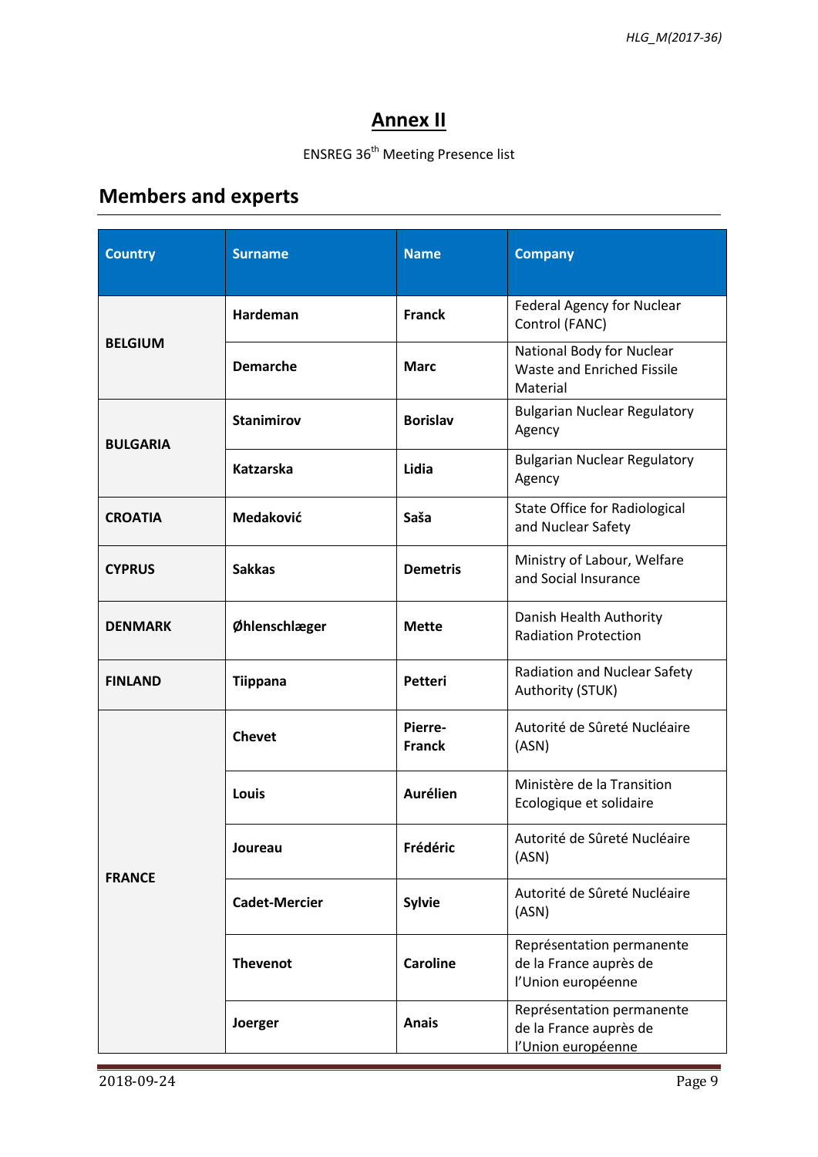# **Annex II**

# ENSREG 36<sup>th</sup> Meeting Presence list

# **Members and experts**

| <b>Country</b>  | <b>Surname</b>       | <b>Name</b>              | <b>Company</b>                                                            |
|-----------------|----------------------|--------------------------|---------------------------------------------------------------------------|
| <b>BELGIUM</b>  | Hardeman             | <b>Franck</b>            | <b>Federal Agency for Nuclear</b><br>Control (FANC)                       |
|                 | <b>Demarche</b>      | <b>Marc</b>              | National Body for Nuclear<br>Waste and Enriched Fissile<br>Material       |
| <b>BULGARIA</b> | <b>Stanimirov</b>    | <b>Borislav</b>          | <b>Bulgarian Nuclear Regulatory</b><br>Agency                             |
|                 | <b>Katzarska</b>     | Lidia                    | <b>Bulgarian Nuclear Regulatory</b><br>Agency                             |
| <b>CROATIA</b>  | Medaković            | Saša                     | <b>State Office for Radiological</b><br>and Nuclear Safety                |
| <b>CYPRUS</b>   | <b>Sakkas</b>        | <b>Demetris</b>          | Ministry of Labour, Welfare<br>and Social Insurance                       |
| <b>DENMARK</b>  | Øhlenschlæger        | <b>Mette</b>             | Danish Health Authority<br><b>Radiation Protection</b>                    |
| <b>FINLAND</b>  | <b>Tiippana</b>      | <b>Petteri</b>           | <b>Radiation and Nuclear Safety</b><br>Authority (STUK)                   |
| <b>FRANCE</b>   | <b>Chevet</b>        | Pierre-<br><b>Franck</b> | Autorité de Sûreté Nucléaire<br>(ASN)                                     |
|                 | Louis                | <b>Aurélien</b>          | Ministère de la Transition<br>Ecologique et solidaire                     |
|                 | Joureau              | Frédéric                 | Autorité de Sûreté Nucléaire<br>(ASN)                                     |
|                 | <b>Cadet-Mercier</b> | <b>Sylvie</b>            | Autorité de Sûreté Nucléaire<br>(ASN)                                     |
|                 | <b>Thevenot</b>      | <b>Caroline</b>          | Représentation permanente<br>de la France auprès de<br>l'Union européenne |
|                 | Joerger              | <b>Anais</b>             | Représentation permanente<br>de la France auprès de<br>l'Union européenne |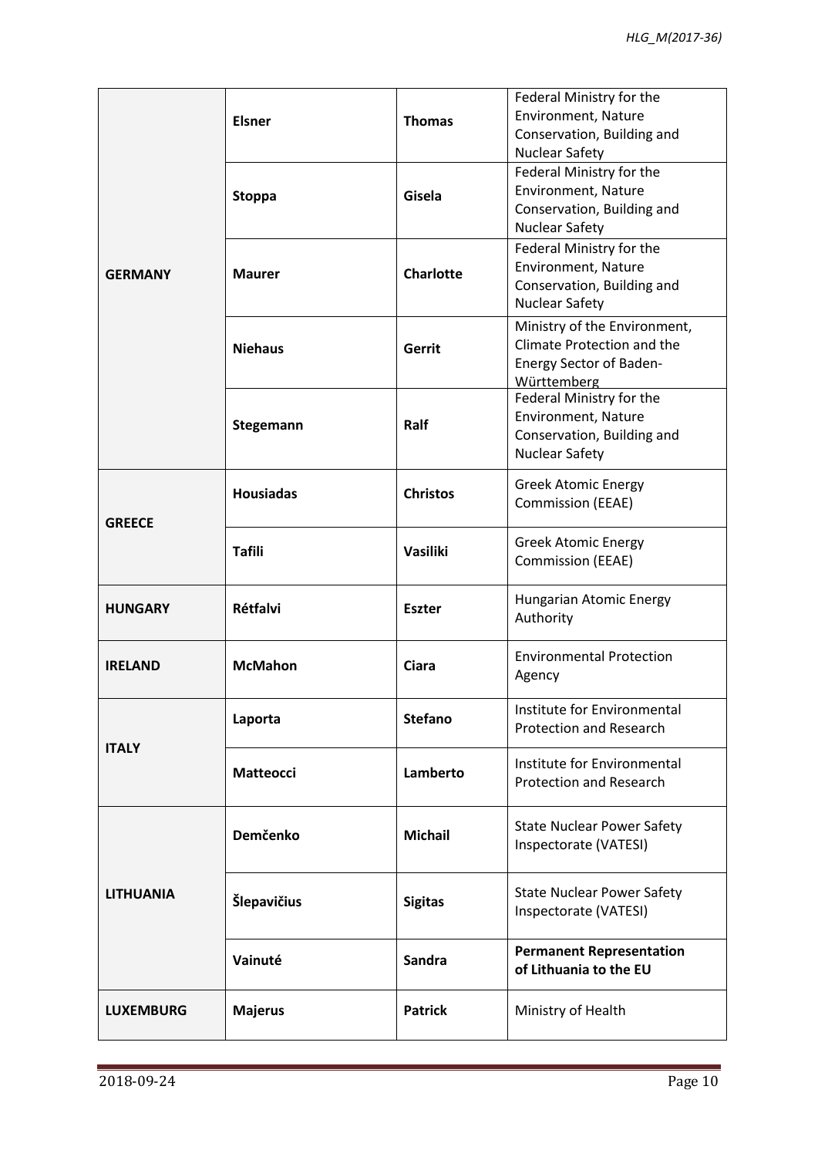| <b>GERMANY</b>   | <b>Elsner</b>    | <b>Thomas</b>    | Federal Ministry for the<br>Environment, Nature<br>Conservation, Building and<br><b>Nuclear Safety</b>      |
|------------------|------------------|------------------|-------------------------------------------------------------------------------------------------------------|
|                  | <b>Stoppa</b>    | Gisela           | Federal Ministry for the<br>Environment, Nature<br>Conservation, Building and<br><b>Nuclear Safety</b>      |
|                  | <b>Maurer</b>    | <b>Charlotte</b> | Federal Ministry for the<br>Environment, Nature<br>Conservation, Building and<br><b>Nuclear Safety</b>      |
|                  | <b>Niehaus</b>   | Gerrit           | Ministry of the Environment,<br>Climate Protection and the<br><b>Energy Sector of Baden-</b><br>Württemberg |
|                  | Stegemann        | Ralf             | Federal Ministry for the<br>Environment, Nature<br>Conservation, Building and<br><b>Nuclear Safety</b>      |
| <b>GREECE</b>    | <b>Housiadas</b> | <b>Christos</b>  | <b>Greek Atomic Energy</b><br><b>Commission (EEAE)</b>                                                      |
|                  | <b>Tafili</b>    | <b>Vasiliki</b>  | <b>Greek Atomic Energy</b><br><b>Commission (EEAE)</b>                                                      |
| <b>HUNGARY</b>   | <b>Rétfalvi</b>  | <b>Eszter</b>    | Hungarian Atomic Energy<br>Authority                                                                        |
| <b>IRELAND</b>   | <b>McMahon</b>   | Ciara            | <b>Environmental Protection</b><br>Agency                                                                   |
| <b>ITALY</b>     | Laporta          | <b>Stefano</b>   | Institute for Environmental<br><b>Protection and Research</b>                                               |
|                  | <b>Matteocci</b> | Lamberto         | Institute for Environmental<br><b>Protection and Research</b>                                               |
| <b>LITHUANIA</b> | Demčenko         | <b>Michail</b>   | <b>State Nuclear Power Safety</b><br>Inspectorate (VATESI)                                                  |
|                  | Šlepavičius      | <b>Sigitas</b>   | <b>State Nuclear Power Safety</b><br>Inspectorate (VATESI)                                                  |
|                  | Vainuté          | <b>Sandra</b>    | <b>Permanent Representation</b><br>of Lithuania to the EU                                                   |
| <b>LUXEMBURG</b> | <b>Majerus</b>   | <b>Patrick</b>   | Ministry of Health                                                                                          |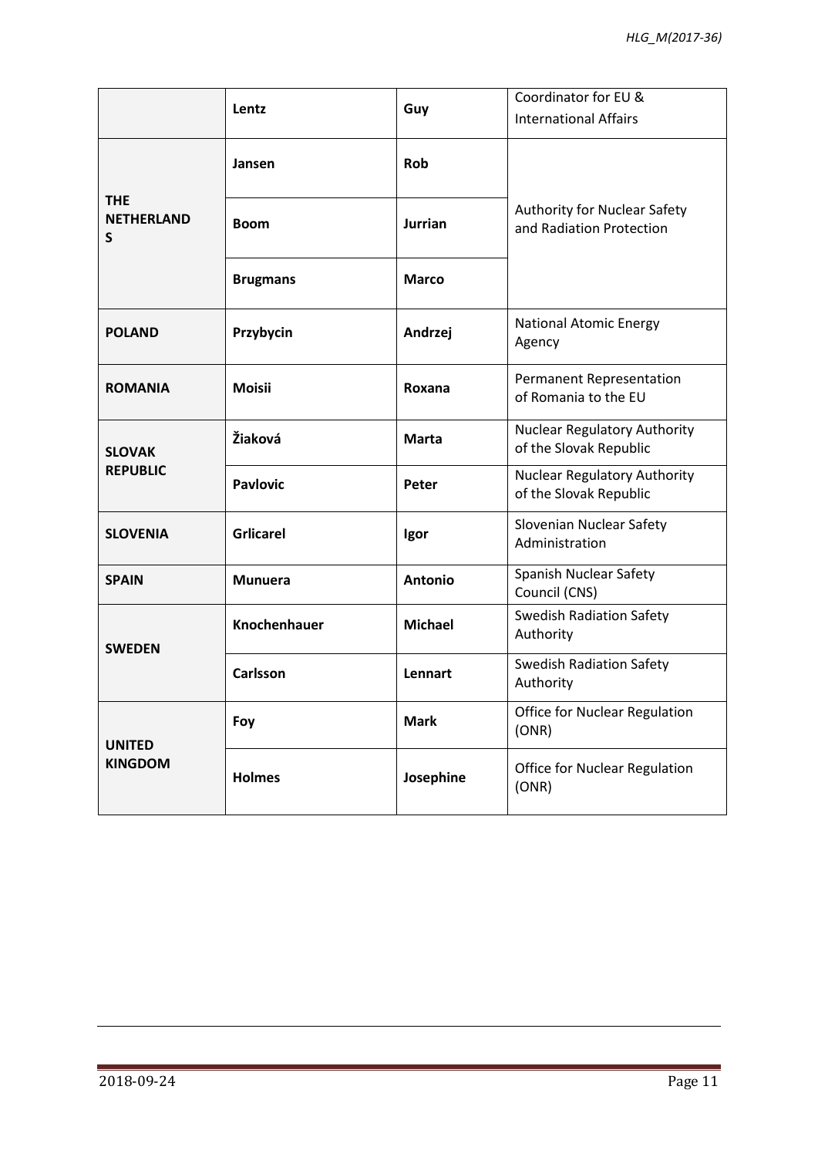|                                      | Lentz               | Guy            | Coordinator for EU &<br><b>International Affairs</b>          |
|--------------------------------------|---------------------|----------------|---------------------------------------------------------------|
| <b>THE</b><br><b>NETHERLAND</b><br>S | Jansen              | <b>Rob</b>     |                                                               |
|                                      | <b>Boom</b>         | <b>Jurrian</b> | Authority for Nuclear Safety<br>and Radiation Protection      |
|                                      | <b>Brugmans</b>     | <b>Marco</b>   |                                                               |
| <b>POLAND</b>                        | Przybycin           | Andrzej        | <b>National Atomic Energy</b><br>Agency                       |
| <b>ROMANIA</b>                       | <b>Moisii</b>       | Roxana         | <b>Permanent Representation</b><br>of Romania to the EU       |
| <b>SLOVAK</b><br><b>REPUBLIC</b>     | Žiaková             | <b>Marta</b>   | <b>Nuclear Regulatory Authority</b><br>of the Slovak Republic |
|                                      | <b>Pavlovic</b>     | Peter          | <b>Nuclear Regulatory Authority</b><br>of the Slovak Republic |
| <b>SLOVENIA</b>                      | <b>Grlicarel</b>    | Igor           | Slovenian Nuclear Safety<br>Administration                    |
| <b>SPAIN</b>                         | <b>Munuera</b>      | <b>Antonio</b> | <b>Spanish Nuclear Safety</b><br>Council (CNS)                |
| <b>SWEDEN</b>                        | <b>Knochenhauer</b> | <b>Michael</b> | <b>Swedish Radiation Safety</b><br>Authority                  |
|                                      | <b>Carlsson</b>     | Lennart        | <b>Swedish Radiation Safety</b><br>Authority                  |
| <b>UNITED</b><br><b>KINGDOM</b>      | Foy                 | <b>Mark</b>    | <b>Office for Nuclear Regulation</b><br>(ONR)                 |
|                                      | <b>Holmes</b>       | Josephine      | <b>Office for Nuclear Regulation</b><br>(ONR)                 |